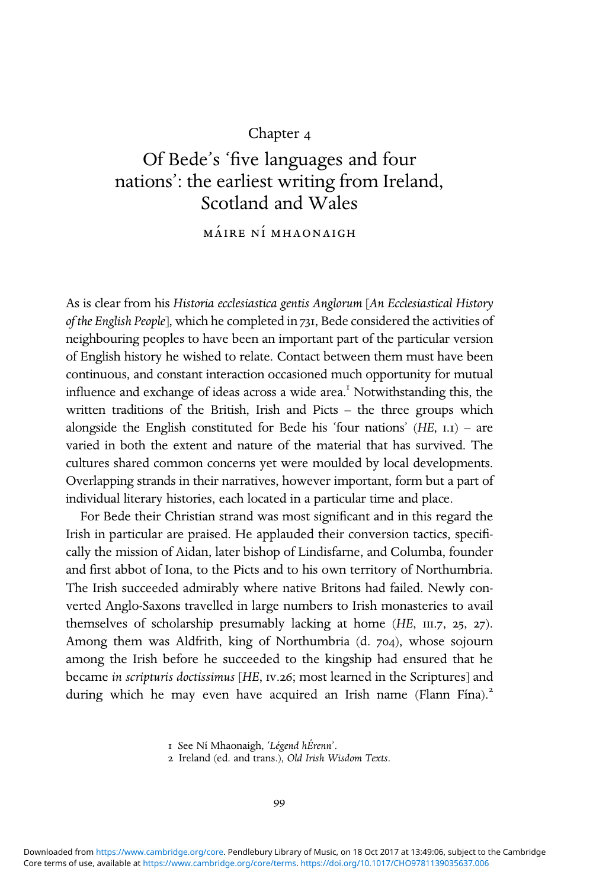## Chapter 4

## Of Bede's 'five languages and four nations': the earliest writing from Ireland, Scotland and Wales

## MÁIRE NÍ MHAONAIGH

As is clear from his Historia ecclesiastica gentis Anglorum [An Ecclesiastical History of the English People], which he completed in 731, Bede considered the activities of neighbouring peoples to have been an important part of the particular version of English history he wished to relate. Contact between them must have been continuous, and constant interaction occasioned much opportunity for mutual influence and exchange of ideas across a wide area.<sup>1</sup> Notwithstanding this, the written traditions of the British, Irish and Picts – the three groups which alongside the English constituted for Bede his 'four nations'  $(HE, I,I)$  – are varied in both the extent and nature of the material that has survived. The cultures shared common concerns yet were moulded by local developments. Overlapping strands in their narratives, however important, form but a part of individual literary histories, each located in a particular time and place.

For Bede their Christian strand was most significant and in this regard the Irish in particular are praised. He applauded their conversion tactics, specifically the mission of Aidan, later bishop of Lindisfarne, and Columba, founder and first abbot of Iona, to the Picts and to his own territory of Northumbria. The Irish succeeded admirably where native Britons had failed. Newly converted Anglo-Saxons travelled in large numbers to Irish monasteries to avail themselves of scholarship presumably lacking at home (HE, III.7, 25, 27). Among them was Aldfrith, king of Northumbria (d. 704), whose sojourn among the Irish before he succeeded to the kingship had ensured that he became in scripturis doctissimus [HE, iv.26; most learned in the Scriptures] and during which he may even have acquired an Irish name (Flann Fína).<sup>2</sup>

1 See Ní Mhaonaigh, 'Légend hÉrenn'.

2 Ireland (ed. and trans.), Old Irish Wisdom Texts.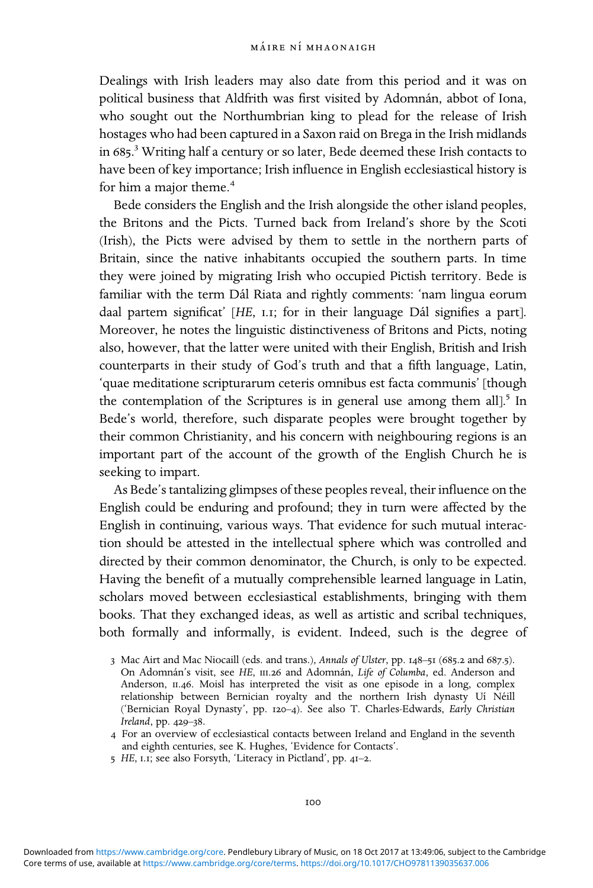Dealings with Irish leaders may also date from this period and it was on political business that Aldfrith was first visited by Adomnán, abbot of Iona, who sought out the Northumbrian king to plead for the release of Irish hostages who had been captured in a Saxon raid on Brega in the Irish midlands in 685. <sup>3</sup> Writing half a century or so later, Bede deemed these Irish contacts to have been of key importance; Irish influence in English ecclesiastical history is for him a major theme.<sup>4</sup>

Bede considers the English and the Irish alongside the other island peoples, the Britons and the Picts. Turned back from Ireland's shore by the Scoti (Irish), the Picts were advised by them to settle in the northern parts of Britain, since the native inhabitants occupied the southern parts. In time they were joined by migrating Irish who occupied Pictish territory. Bede is familiar with the term Dál Riata and rightly comments: 'nam lingua eorum daal partem significat' [HE, i.1; for in their language Dál signifies a part]. Moreover, he notes the linguistic distinctiveness of Britons and Picts, noting also, however, that the latter were united with their English, British and Irish counterparts in their study of God's truth and that a fifth language, Latin, 'quae meditatione scripturarum ceteris omnibus est facta communis' [though the contemplation of the Scriptures is in general use among them all].<sup>5</sup> In Bede's world, therefore, such disparate peoples were brought together by their common Christianity, and his concern with neighbouring regions is an important part of the account of the growth of the English Church he is seeking to impart.

As Bede's tantalizing glimpses of these peoples reveal, their influence on the English could be enduring and profound; they in turn were affected by the English in continuing, various ways. That evidence for such mutual interaction should be attested in the intellectual sphere which was controlled and directed by their common denominator, the Church, is only to be expected. Having the benefit of a mutually comprehensible learned language in Latin, scholars moved between ecclesiastical establishments, bringing with them books. That they exchanged ideas, as well as artistic and scribal techniques, both formally and informally, is evident. Indeed, such is the degree of

5 HE, i.1; see also Forsyth, 'Literacy in Pictland', pp. 41–2.

<sup>3</sup> Mac Airt and Mac Niocaill (eds. and trans.), Annals of Ulster, pp. 148–51 (685.2 and 687.5). On Adomnán's visit, see HE, III.26 and Adomnán, Life of Columba, ed. Anderson and Anderson, II.46. Moisl has interpreted the visit as one episode in a long, complex relationship between Bernician royalty and the northern Irish dynasty Uí Néill ('Bernician Royal Dynasty', pp. 120–4). See also T. Charles-Edwards, Early Christian Ireland, pp. 429–38.

<sup>4</sup> For an overview of ecclesiastical contacts between Ireland and England in the seventh and eighth centuries, see K. Hughes, 'Evidence for Contacts'.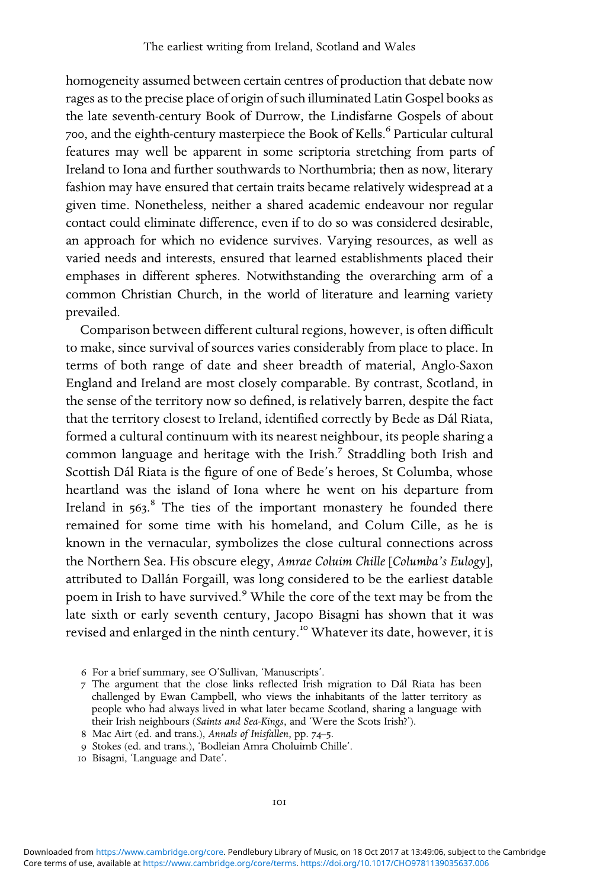homogeneity assumed between certain centres of production that debate now rages as to the precise place of origin of such illuminated Latin Gospel books as the late seventh-century Book of Durrow, the Lindisfarne Gospels of about 700, and the eighth-century masterpiece the Book of Kells.<sup>6</sup> Particular cultural features may well be apparent in some scriptoria stretching from parts of Ireland to Iona and further southwards to Northumbria; then as now, literary fashion may have ensured that certain traits became relatively widespread at a given time. Nonetheless, neither a shared academic endeavour nor regular contact could eliminate difference, even if to do so was considered desirable, an approach for which no evidence survives. Varying resources, as well as varied needs and interests, ensured that learned establishments placed their emphases in different spheres. Notwithstanding the overarching arm of a common Christian Church, in the world of literature and learning variety prevailed.

Comparison between different cultural regions, however, is often difficult to make, since survival of sources varies considerably from place to place. In terms of both range of date and sheer breadth of material, Anglo-Saxon England and Ireland are most closely comparable. By contrast, Scotland, in the sense of the territory now so defined, is relatively barren, despite the fact that the territory closest to Ireland, identified correctly by Bede as Dál Riata, formed a cultural continuum with its nearest neighbour, its people sharing a common language and heritage with the Irish.<sup>7</sup> Straddling both Irish and Scottish Dál Riata is the figure of one of Bede's heroes, St Columba, whose heartland was the island of Iona where he went on his departure from Ireland in 563.<sup>8</sup> The ties of the important monastery he founded there remained for some time with his homeland, and Colum Cille, as he is known in the vernacular, symbolizes the close cultural connections across the Northern Sea. His obscure elegy, Amrae Coluim Chille [Columba's Eulogy], attributed to Dallán Forgaill, was long considered to be the earliest datable poem in Irish to have survived.<sup>9</sup> While the core of the text may be from the late sixth or early seventh century, Jacopo Bisagni has shown that it was revised and enlarged in the ninth century.<sup>10</sup> Whatever its date, however, it is

<sup>6</sup> For a brief summary, see O'Sullivan, 'Manuscripts'.

<sup>7</sup> The argument that the close links reflected Irish migration to Dál Riata has been challenged by Ewan Campbell, who views the inhabitants of the latter territory as people who had always lived in what later became Scotland, sharing a language with their Irish neighbours (Saints and Sea-Kings, and 'Were the Scots Irish?').

<sup>8</sup> Mac Airt (ed. and trans.), Annals of Inisfallen, pp. 74–5.

<sup>9</sup> Stokes (ed. and trans.), 'Bodleian Amra Choluimb Chille'.

<sup>10</sup> Bisagni, 'Language and Date'.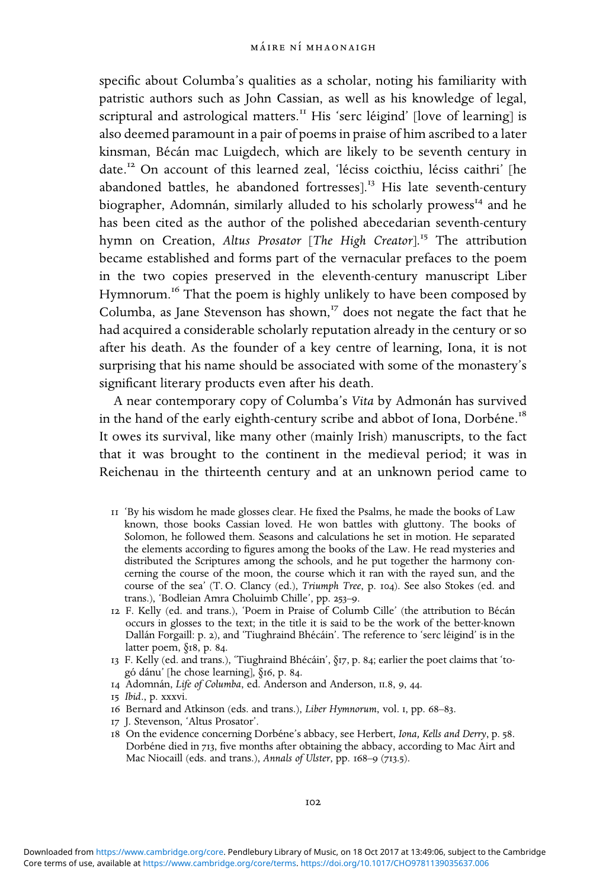specific about Columba's qualities as a scholar, noting his familiarity with patristic authors such as John Cassian, as well as his knowledge of legal, scriptural and astrological matters.<sup>11</sup> His 'serc léigind' [love of learning] is also deemed paramount in a pair of poems in praise of him ascribed to a later kinsman, Bécán mac Luigdech, which are likely to be seventh century in date.<sup>12</sup> On account of this learned zeal, 'léciss coicthiu, léciss caithri' [he abandoned battles, he abandoned fortresses].<sup>13</sup> His late seventh-century biographer, Adomnán, similarly alluded to his scholarly prowess<sup>14</sup> and he has been cited as the author of the polished abecedarian seventh-century hymn on Creation, Altus Prosator [The High Creator].<sup>15</sup> The attribution became established and forms part of the vernacular prefaces to the poem in the two copies preserved in the eleventh-century manuscript Liber Hymnorum.<sup>16</sup> That the poem is highly unlikely to have been composed by Columba, as Jane Stevenson has shown, $^{17}$  does not negate the fact that he had acquired a considerable scholarly reputation already in the century or so after his death. As the founder of a key centre of learning, Iona, it is not surprising that his name should be associated with some of the monastery's significant literary products even after his death.

A near contemporary copy of Columba's Vita by Admonán has survived in the hand of the early eighth-century scribe and abbot of Iona, Dorbéne.<sup>18</sup> It owes its survival, like many other (mainly Irish) manuscripts, to the fact that it was brought to the continent in the medieval period; it was in Reichenau in the thirteenth century and at an unknown period came to

- 11 'By his wisdom he made glosses clear. He fixed the Psalms, he made the books of Law known, those books Cassian loved. He won battles with gluttony. The books of Solomon, he followed them. Seasons and calculations he set in motion. He separated the elements according to figures among the books of the Law. He read mysteries and distributed the Scriptures among the schools, and he put together the harmony concerning the course of the moon, the course which it ran with the rayed sun, and the course of the sea' (T. O. Clancy (ed.), Triumph Tree, p. 104). See also Stokes (ed. and trans.), 'Bodleian Amra Choluimb Chille', pp. 253–9.
- 12 F. Kelly (ed. and trans.), 'Poem in Praise of Columb Cille' (the attribution to Bécán occurs in glosses to the text; in the title it is said to be the work of the better-known Dallán Forgaill: p. 2), and 'Tiughraind Bhécáin'. The reference to 'serc léigind' is in the latter poem, §18, p. 84.
- 13 F. Kelly (ed. and trans.), 'Tiughraind Bhécáin', §17, p. 84; earlier the poet claims that 'togó dánu' [he chose learning], §16, p. 84.
- 14 Adomnán, Life of Columba, ed. Anderson and Anderson, ii.8, 9, 44.
- 15 Ibid., p. xxxvi.
- 16 Bernard and Atkinson (eds. and trans.), Liber Hymnorum, vol. i, pp. 68–83.
- 17 J. Stevenson, 'Altus Prosator'.
- 18 On the evidence concerning Dorbéne's abbacy, see Herbert, Iona, Kells and Derry, p. 58. Dorbéne died in 713, five months after obtaining the abbacy, according to Mac Airt and Mac Niocaill (eds. and trans.), Annals of Ulster, pp. 168–9 (713.5).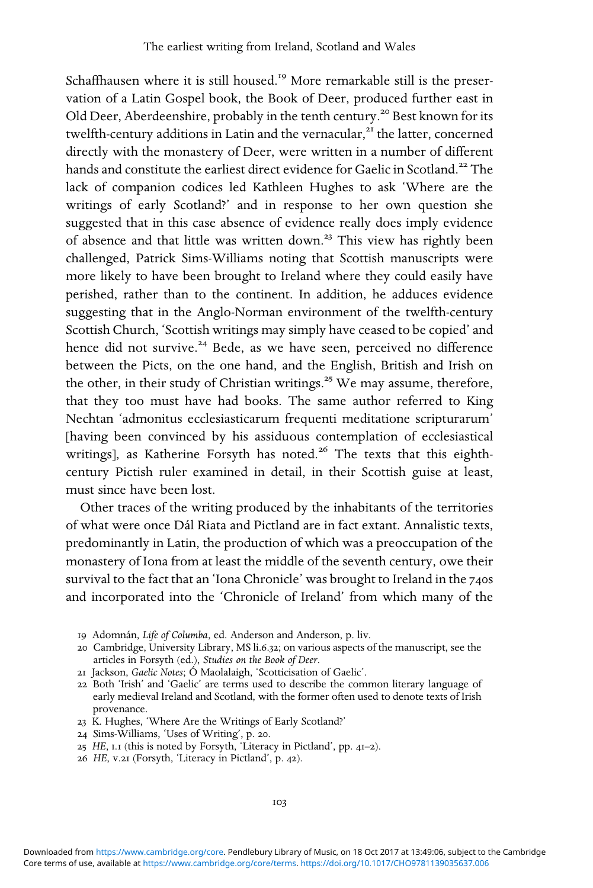Schaffhausen where it is still housed.<sup>19</sup> More remarkable still is the preservation of a Latin Gospel book, the Book of Deer, produced further east in Old Deer, Aberdeenshire, probably in the tenth century.<sup>20</sup> Best known for its twelfth-century additions in Latin and the vernacular,<sup>21</sup> the latter, concerned directly with the monastery of Deer, were written in a number of different hands and constitute the earliest direct evidence for Gaelic in Scotland.<sup>22</sup> The lack of companion codices led Kathleen Hughes to ask 'Where are the writings of early Scotland?' and in response to her own question she suggested that in this case absence of evidence really does imply evidence of absence and that little was written down.<sup>23</sup> This view has rightly been challenged, Patrick Sims-Williams noting that Scottish manuscripts were more likely to have been brought to Ireland where they could easily have perished, rather than to the continent. In addition, he adduces evidence suggesting that in the Anglo-Norman environment of the twelfth-century Scottish Church, 'Scottish writings may simply have ceased to be copied' and hence did not survive.<sup>24</sup> Bede, as we have seen, perceived no difference between the Picts, on the one hand, and the English, British and Irish on the other, in their study of Christian writings.<sup>25</sup> We may assume, therefore, that they too must have had books. The same author referred to King Nechtan 'admonitus ecclesiasticarum frequenti meditatione scripturarum' [having been convinced by his assiduous contemplation of ecclesiastical writings], as Katherine Forsyth has noted.<sup>26</sup> The texts that this eighthcentury Pictish ruler examined in detail, in their Scottish guise at least, must since have been lost.

Other traces of the writing produced by the inhabitants of the territories of what were once Dál Riata and Pictland are in fact extant. Annalistic texts, predominantly in Latin, the production of which was a preoccupation of the monastery of Iona from at least the middle of the seventh century, owe their survival to the fact that an 'Iona Chronicle' was brought to Ireland in the 740s and incorporated into the 'Chronicle of Ireland' from which many of the

- 19 Adomnán, Life of Columba, ed. Anderson and Anderson, p. liv.
- 20 Cambridge, University Library, MS li.6.32; on various aspects of the manuscript, see the articles in Forsyth (ed.), Studies on the Book of Deer.
- 21 Jackson, Gaelic Notes; Ó Maolalaigh, 'Scotticisation of Gaelic'.
- 22 Both 'Irish' and 'Gaelic' are terms used to describe the common literary language of early medieval Ireland and Scotland, with the former often used to denote texts of Irish provenance.
- 23 K. Hughes, 'Where Are the Writings of Early Scotland?'
- 24 Sims-Williams, 'Uses of Writing', p. 20.
- 25 HE, i.1 (this is noted by Forsyth, 'Literacy in Pictland', pp. 41–2).
- 26 HE, v.21 (Forsyth, 'Literacy in Pictland', p. 42).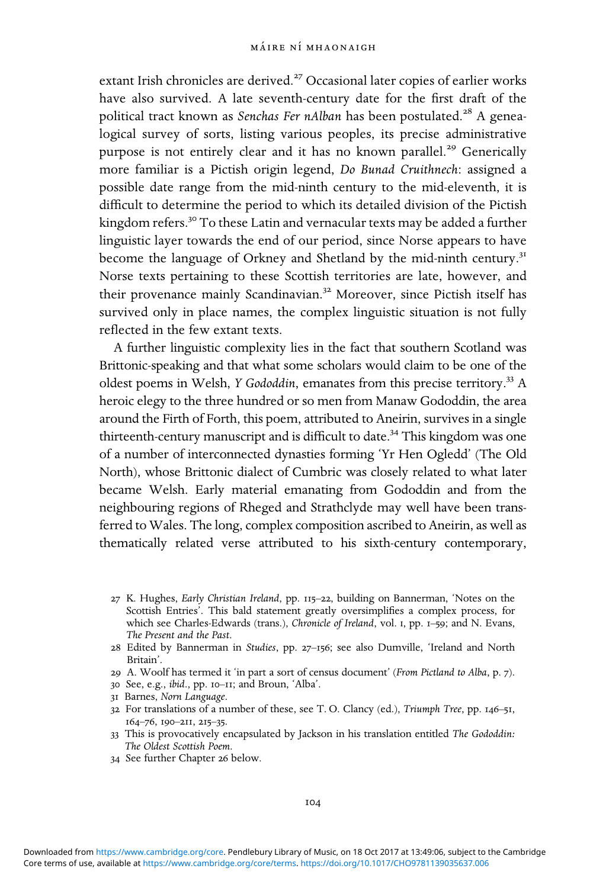extant Irish chronicles are derived.<sup>27</sup> Occasional later copies of earlier works have also survived. A late seventh-century date for the first draft of the political tract known as Senchas Fer nAlban has been postulated.<sup>28</sup> A genealogical survey of sorts, listing various peoples, its precise administrative purpose is not entirely clear and it has no known parallel.<sup>29</sup> Generically more familiar is a Pictish origin legend, Do Bunad Cruithnech: assigned a possible date range from the mid-ninth century to the mid-eleventh, it is difficult to determine the period to which its detailed division of the Pictish kingdom refers.<sup>30</sup> To these Latin and vernacular texts may be added a further linguistic layer towards the end of our period, since Norse appears to have become the language of Orkney and Shetland by the mid-ninth century.<sup>31</sup> Norse texts pertaining to these Scottish territories are late, however, and their provenance mainly Scandinavian.<sup>32</sup> Moreover, since Pictish itself has survived only in place names, the complex linguistic situation is not fully reflected in the few extant texts.

A further linguistic complexity lies in the fact that southern Scotland was Brittonic-speaking and that what some scholars would claim to be one of the oldest poems in Welsh, Y Gododdin, emanates from this precise territory.<sup>33</sup> A heroic elegy to the three hundred or so men from Manaw Gododdin, the area around the Firth of Forth, this poem, attributed to Aneirin, survives in a single thirteenth-century manuscript and is difficult to date.<sup>34</sup> This kingdom was one of a number of interconnected dynasties forming 'Yr Hen Ogledd' (The Old North), whose Brittonic dialect of Cumbric was closely related to what later became Welsh. Early material emanating from Gododdin and from the neighbouring regions of Rheged and Strathclyde may well have been transferred to Wales. The long, complex composition ascribed to Aneirin, as well as thematically related verse attributed to his sixth-century contemporary,

- 27 K. Hughes, Early Christian Ireland, pp. 115–22, building on Bannerman, 'Notes on the Scottish Entries'. This bald statement greatly oversimplifies a complex process, for which see Charles-Edwards (trans.), Chronicle of Ireland, vol. 1, pp. 1-59; and N. Evans, The Present and the Past.
- 28 Edited by Bannerman in Studies, pp. 27–156; see also Dumville, 'Ireland and North Britain'.
- 29 A. Woolf has termed it 'in part a sort of census document' (From Pictland to Alba, p. 7).
- 30 See, e.g., ibid., pp. 10–11; and Broun, 'Alba'.
- 31 Barnes, Norn Language.
- 32 For translations of a number of these, see T. O. Clancy (ed.), Triumph Tree, pp. 146–51, 164–76, 190–211, 215–35.
- 33 This is provocatively encapsulated by Jackson in his translation entitled The Gododdin: The Oldest Scottish Poem.
- 34 See further Chapter 26 below.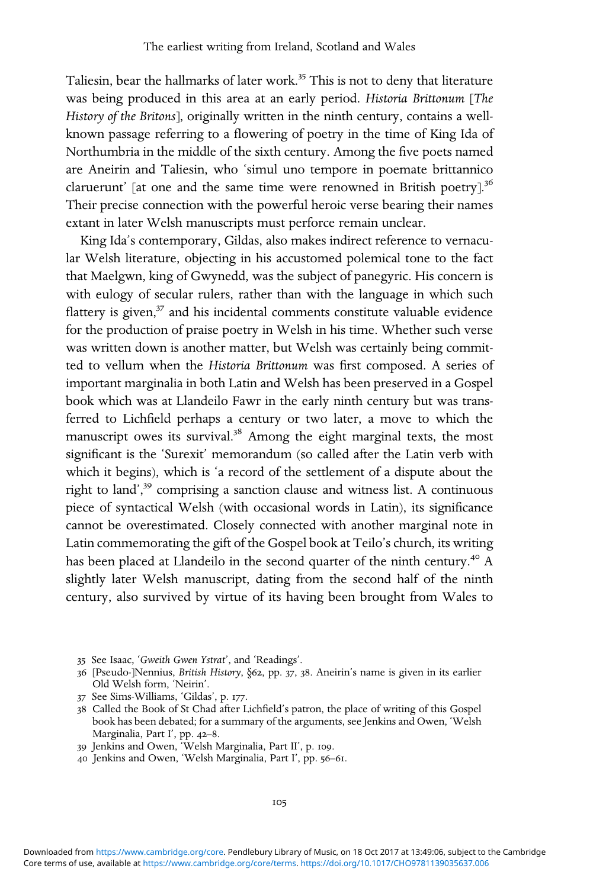Taliesin, bear the hallmarks of later work.<sup>35</sup> This is not to deny that literature was being produced in this area at an early period. Historia Brittonum [The History of the Britons], originally written in the ninth century, contains a wellknown passage referring to a flowering of poetry in the time of King Ida of Northumbria in the middle of the sixth century. Among the five poets named are Aneirin and Taliesin, who 'simul uno tempore in poemate brittannico claruerunt' [at one and the same time were renowned in British poetry].<sup>36</sup> Their precise connection with the powerful heroic verse bearing their names extant in later Welsh manuscripts must perforce remain unclear.

King Ida's contemporary, Gildas, also makes indirect reference to vernacular Welsh literature, objecting in his accustomed polemical tone to the fact that Maelgwn, king of Gwynedd, was the subject of panegyric. His concern is with eulogy of secular rulers, rather than with the language in which such flattery is given, $37$  and his incidental comments constitute valuable evidence for the production of praise poetry in Welsh in his time. Whether such verse was written down is another matter, but Welsh was certainly being committed to vellum when the Historia Brittonum was first composed. A series of important marginalia in both Latin and Welsh has been preserved in a Gospel book which was at Llandeilo Fawr in the early ninth century but was transferred to Lichfield perhaps a century or two later, a move to which the manuscript owes its survival.<sup>38</sup> Among the eight marginal texts, the most significant is the 'Surexit' memorandum (so called after the Latin verb with which it begins), which is 'a record of the settlement of a dispute about the right to land', <sup>39</sup> comprising a sanction clause and witness list. A continuous piece of syntactical Welsh (with occasional words in Latin), its significance cannot be overestimated. Closely connected with another marginal note in Latin commemorating the gift of the Gospel book at Teilo's church, its writing has been placed at Llandeilo in the second quarter of the ninth century.<sup>40</sup> A slightly later Welsh manuscript, dating from the second half of the ninth century, also survived by virtue of its having been brought from Wales to

37 See Sims-Williams, 'Gildas', p. 177.

- 39 Jenkins and Owen, 'Welsh Marginalia, Part II', p. 109.
- 40 Jenkins and Owen, 'Welsh Marginalia, Part I', pp. 56–61.

<sup>35</sup> See Isaac, 'Gweith Gwen Ystrat', and 'Readings'.

<sup>36</sup> [Pseudo-]Nennius, British History, §62, pp. 37, 38. Aneirin's name is given in its earlier Old Welsh form, 'Neirin'.

<sup>38</sup> Called the Book of St Chad after Lichfield's patron, the place of writing of this Gospel book has been debated; for a summary of the arguments, see Jenkins and Owen, 'Welsh Marginalia, Part I', pp. 42–8.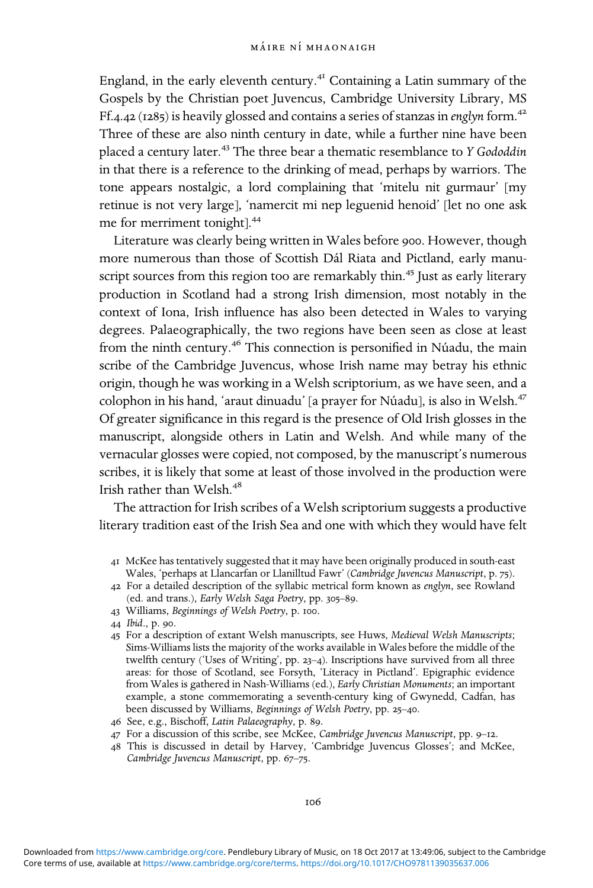England, in the early eleventh century.<sup>41</sup> Containing a Latin summary of the Gospels by the Christian poet Juvencus, Cambridge University Library, MS Ff.4.42 (1285) is heavily glossed and contains a series of stanzas in englyn form.<sup>42</sup> Three of these are also ninth century in date, while a further nine have been placed a century later.<sup>43</sup> The three bear a thematic resemblance to Y Gododdin in that there is a reference to the drinking of mead, perhaps by warriors. The tone appears nostalgic, a lord complaining that 'mitelu nit gurmaur' [my retinue is not very large], 'namercit mi nep leguenid henoid' [let no one ask me for merriment tonight].<sup>44</sup>

Literature was clearly being written in Wales before 900. However, though more numerous than those of Scottish Dál Riata and Pictland, early manuscript sources from this region too are remarkably thin.<sup>45</sup> Just as early literary production in Scotland had a strong Irish dimension, most notably in the context of Iona, Irish influence has also been detected in Wales to varying degrees. Palaeographically, the two regions have been seen as close at least from the ninth century.<sup>46</sup> This connection is personified in Núadu, the main scribe of the Cambridge Juvencus, whose Irish name may betray his ethnic origin, though he was working in a Welsh scriptorium, as we have seen, and a colophon in his hand, 'araut dinuadu' [a prayer for Núadu], is also in Welsh.<sup>47</sup> Of greater significance in this regard is the presence of Old Irish glosses in the manuscript, alongside others in Latin and Welsh. And while many of the vernacular glosses were copied, not composed, by the manuscript's numerous scribes, it is likely that some at least of those involved in the production were Irish rather than Welsh.<sup>48</sup>

The attraction for Irish scribes of a Welsh scriptorium suggests a productive literary tradition east of the Irish Sea and one with which they would have felt

- 41 McKee has tentatively suggested that it may have been originally produced in south-east Wales, 'perhaps at Llancarfan or Llanilltud Fawr' (Cambridge Juvencus Manuscript, p. 75).
- 42 For a detailed description of the syllabic metrical form known as englyn, see Rowland (ed. and trans.), Early Welsh Saga Poetry, pp. 305–89.
- 43 Williams, Beginnings of Welsh Poetry, p. 100.

45 For a description of extant Welsh manuscripts, see Huws, Medieval Welsh Manuscripts; Sims-Williams lists the majority of the works available in Wales before the middle of the twelfth century ('Uses of Writing', pp. 23–4). Inscriptions have survived from all three areas: for those of Scotland, see Forsyth, 'Literacy in Pictland'. Epigraphic evidence from Wales is gathered in Nash-Williams (ed.), Early Christian Monuments; an important example, a stone commemorating a seventh-century king of Gwynedd, Cadfan, has been discussed by Williams, Beginnings of Welsh Poetry, pp. 25–40.

- 47 For a discussion of this scribe, see McKee, Cambridge Juvencus Manuscript, pp. 9–12.
- 48 This is discussed in detail by Harvey, 'Cambridge Juvencus Glosses'; and McKee, Cambridge Juvencus Manuscript, pp. 67–75.

<sup>44</sup> Ibid., p. 90.

<sup>46</sup> See, e.g., Bischoff, Latin Palaeography, p. 89.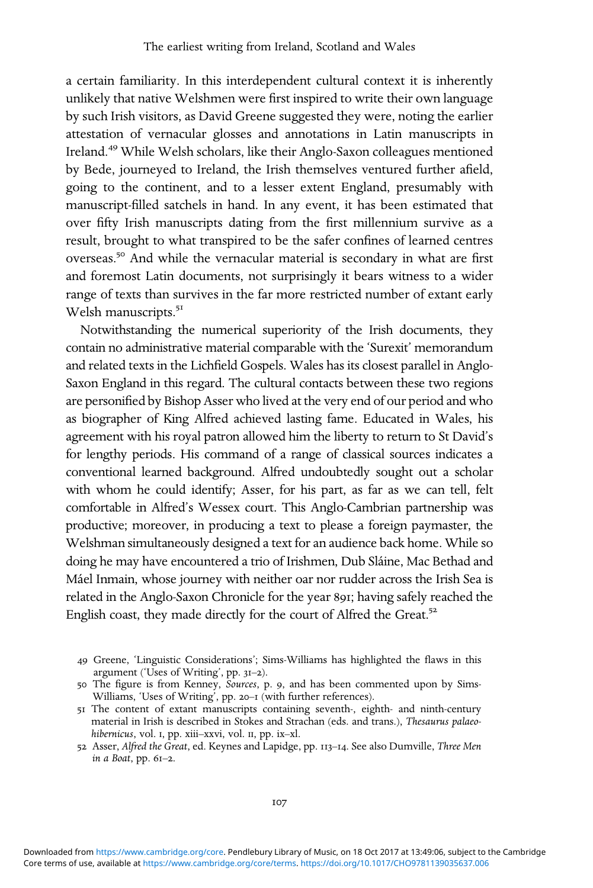a certain familiarity. In this interdependent cultural context it is inherently unlikely that native Welshmen were first inspired to write their own language by such Irish visitors, as David Greene suggested they were, noting the earlier attestation of vernacular glosses and annotations in Latin manuscripts in Ireland.<sup>49</sup> While Welsh scholars, like their Anglo-Saxon colleagues mentioned by Bede, journeyed to Ireland, the Irish themselves ventured further afield, going to the continent, and to a lesser extent England, presumably with manuscript-filled satchels in hand. In any event, it has been estimated that over fifty Irish manuscripts dating from the first millennium survive as a result, brought to what transpired to be the safer confines of learned centres overseas. <sup>50</sup> And while the vernacular material is secondary in what are first and foremost Latin documents, not surprisingly it bears witness to a wider range of texts than survives in the far more restricted number of extant early Welsh manuscripts.<sup>51</sup>

Notwithstanding the numerical superiority of the Irish documents, they contain no administrative material comparable with the 'Surexit' memorandum and related texts in the Lichfield Gospels. Wales has its closest parallel in Anglo-Saxon England in this regard. The cultural contacts between these two regions are personified by Bishop Asser who lived at the very end of our period and who as biographer of King Alfred achieved lasting fame. Educated in Wales, his agreement with his royal patron allowed him the liberty to return to St David's for lengthy periods. His command of a range of classical sources indicates a conventional learned background. Alfred undoubtedly sought out a scholar with whom he could identify; Asser, for his part, as far as we can tell, felt comfortable in Alfred's Wessex court. This Anglo-Cambrian partnership was productive; moreover, in producing a text to please a foreign paymaster, the Welshman simultaneously designed a text for an audience back home. While so doing he may have encountered a trio of Irishmen, Dub Sláine, Mac Bethad and Máel Inmain, whose journey with neither oar nor rudder across the Irish Sea is related in the Anglo-Saxon Chronicle for the year 891; having safely reached the English coast, they made directly for the court of Alfred the Great.<sup>52</sup>

- 49 Greene, 'Linguistic Considerations'; Sims-Williams has highlighted the flaws in this argument ('Uses of Writing', pp. 31–2).
- 50 The figure is from Kenney, Sources, p. 9, and has been commented upon by Sims-Williams, 'Uses of Writing', pp. 20-1 (with further references).
- 51 The content of extant manuscripts containing seventh-, eighth- and ninth-century material in Irish is described in Stokes and Strachan (eds. and trans.), Thesaurus palaeohibernicus, vol. I, pp. xiii-xxvi, vol. II, pp. ix-xl.
- 52 Asser, Alfred the Great, ed. Keynes and Lapidge, pp. 113–14. See also Dumville, Three Men in a Boat, pp. 61–2.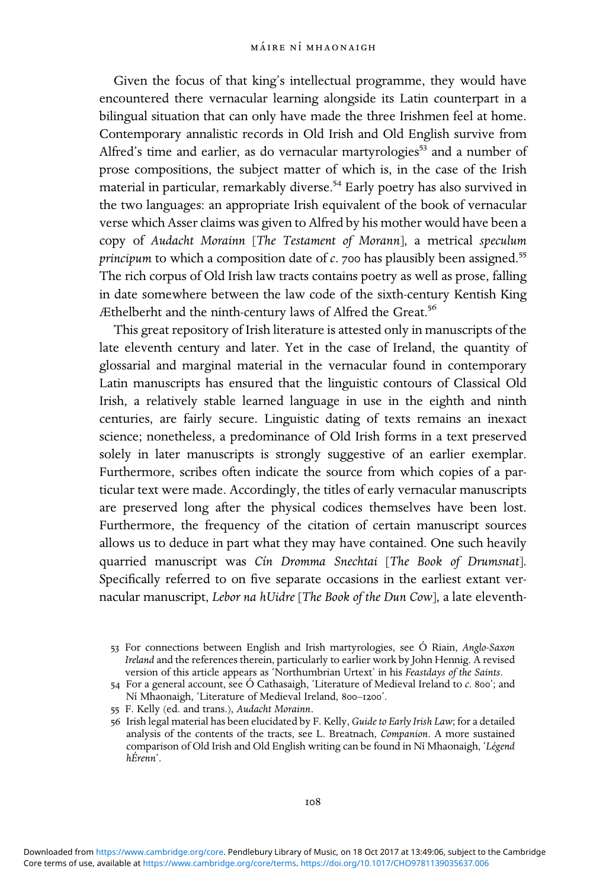Given the focus of that king's intellectual programme, they would have encountered there vernacular learning alongside its Latin counterpart in a bilingual situation that can only have made the three Irishmen feel at home. Contemporary annalistic records in Old Irish and Old English survive from Alfred's time and earlier, as do vernacular martyrologies<sup>53</sup> and a number of prose compositions, the subject matter of which is, in the case of the Irish material in particular, remarkably diverse.<sup>54</sup> Early poetry has also survived in the two languages: an appropriate Irish equivalent of the book of vernacular verse which Asser claims was given to Alfred by his mother would have been a copy of Audacht Morainn [The Testament of Morann], a metrical speculum principum to which a composition date of  $c$ . 700 has plausibly been assigned.<sup>55</sup> The rich corpus of Old Irish law tracts contains poetry as well as prose, falling in date somewhere between the law code of the sixth-century Kentish King Æthelberht and the ninth-century laws of Alfred the Great.<sup>56</sup>

This great repository of Irish literature is attested only in manuscripts of the late eleventh century and later. Yet in the case of Ireland, the quantity of glossarial and marginal material in the vernacular found in contemporary Latin manuscripts has ensured that the linguistic contours of Classical Old Irish, a relatively stable learned language in use in the eighth and ninth centuries, are fairly secure. Linguistic dating of texts remains an inexact science; nonetheless, a predominance of Old Irish forms in a text preserved solely in later manuscripts is strongly suggestive of an earlier exemplar. Furthermore, scribes often indicate the source from which copies of a particular text were made. Accordingly, the titles of early vernacular manuscripts are preserved long after the physical codices themselves have been lost. Furthermore, the frequency of the citation of certain manuscript sources allows us to deduce in part what they may have contained. One such heavily quarried manuscript was Cín Dromma Snechtai [The Book of Drumsnat]. Specifically referred to on five separate occasions in the earliest extant vernacular manuscript, Lebor na hUidre [The Book of the Dun Cow], a late eleventh-

<sup>53</sup> For connections between English and Irish martyrologies, see Ó Riain, Anglo-Saxon Ireland and the references therein, particularly to earlier work by John Hennig. A revised version of this article appears as 'Northumbrian Urtext' in his Feastdays of the Saints.

<sup>54</sup> For a general account, see Ó Cathasaigh, 'Literature of Medieval Ireland to c. 800'; and Ní Mhaonaigh, 'Literature of Medieval Ireland, 800–1200'.

<sup>55</sup> F. Kelly (ed. and trans.), Audacht Morainn.

<sup>56</sup> Irish legal material has been elucidated by F. Kelly, Guide to Early Irish Law; for a detailed analysis of the contents of the tracts, see L. Breatnach, Companion. A more sustained comparison of Old Irish and Old English writing can be found in Ní Mhaonaigh, 'Légend hÉrenn'.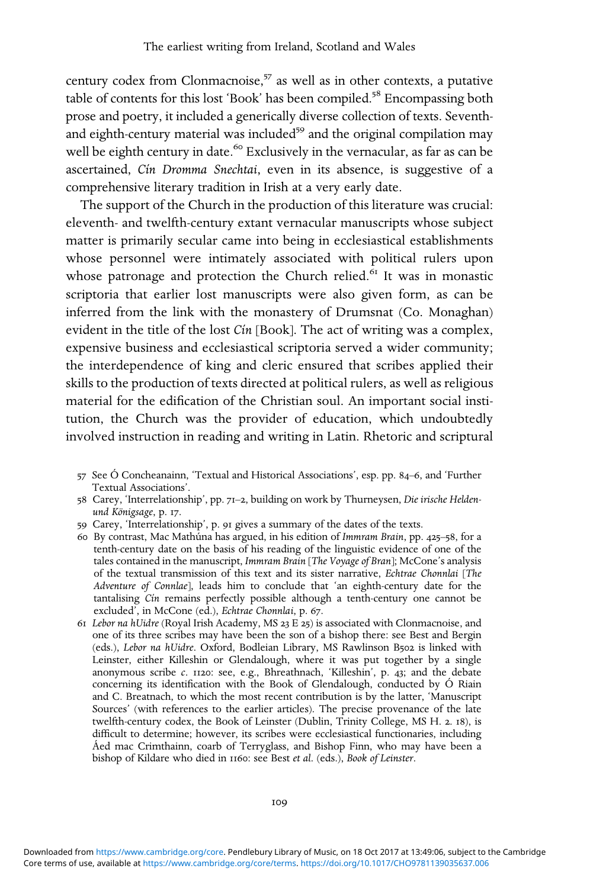century codex from Clonmacnoise, $57$  as well as in other contexts, a putative table of contents for this lost 'Book' has been compiled.<sup>58</sup> Encompassing both prose and poetry, it included a generically diverse collection of texts. Seventhand eighth-century material was included<sup>59</sup> and the original compilation may well be eighth century in date.<sup>60</sup> Exclusively in the vernacular, as far as can be ascertained, Cín Dromma Snechtai, even in its absence, is suggestive of a comprehensive literary tradition in Irish at a very early date.

The support of the Church in the production of this literature was crucial: eleventh- and twelfth-century extant vernacular manuscripts whose subject matter is primarily secular came into being in ecclesiastical establishments whose personnel were intimately associated with political rulers upon whose patronage and protection the Church relied.<sup>61</sup> It was in monastic scriptoria that earlier lost manuscripts were also given form, as can be inferred from the link with the monastery of Drumsnat (Co. Monaghan) evident in the title of the lost Cín [Book]. The act of writing was a complex, expensive business and ecclesiastical scriptoria served a wider community; the interdependence of king and cleric ensured that scribes applied their skills to the production of texts directed at political rulers, as well as religious material for the edification of the Christian soul. An important social institution, the Church was the provider of education, which undoubtedly involved instruction in reading and writing in Latin. Rhetoric and scriptural

- 57 See Ó Concheanainn, 'Textual and Historical Associations', esp. pp. 84–6, and 'Further Textual Associations'.
- 58 Carey, 'Interrelationship', pp. 71–2, building on work by Thurneysen, Die irische Heldenund Königsage, p. 17.
- 59 Carey, 'Interrelationship', p. 91 gives a summary of the dates of the texts.
- 60 By contrast, Mac Mathúna has argued, in his edition of Immram Brain, pp. 425–58, for a tenth-century date on the basis of his reading of the linguistic evidence of one of the tales contained in the manuscript, Immram Brain [The Voyage of Bran]; McCone's analysis of the textual transmission of this text and its sister narrative, Echtrae Chonnlai [The Adventure of Connlae], leads him to conclude that 'an eighth-century date for the tantalising Cín remains perfectly possible although a tenth-century one cannot be excluded', in McCone (ed.), Echtrae Chonnlai, p. 67.
- 61 Lebor na hUidre (Royal Irish Academy, MS 23 E 25) is associated with Clonmacnoise, and one of its three scribes may have been the son of a bishop there: see Best and Bergin (eds.), Lebor na hUidre. Oxford, Bodleian Library, MS Rawlinson B502 is linked with Leinster, either Killeshin or Glendalough, where it was put together by a single anonymous scribe c. 1120: see, e.g., Bhreathnach, 'Killeshin', p. 43; and the debate concerning its identification with the Book of Glendalough, conducted by Ó Riain and C. Breatnach, to which the most recent contribution is by the latter, 'Manuscript Sources' (with references to the earlier articles). The precise provenance of the late twelfth-century codex, the Book of Leinster (Dublin, Trinity College, MS H. 2. 18), is difficult to determine; however, its scribes were ecclesiastical functionaries, including Áed mac Crimthainn, coarb of Terryglass, and Bishop Finn, who may have been a bishop of Kildare who died in 1160: see Best et al. (eds.), Book of Leinster.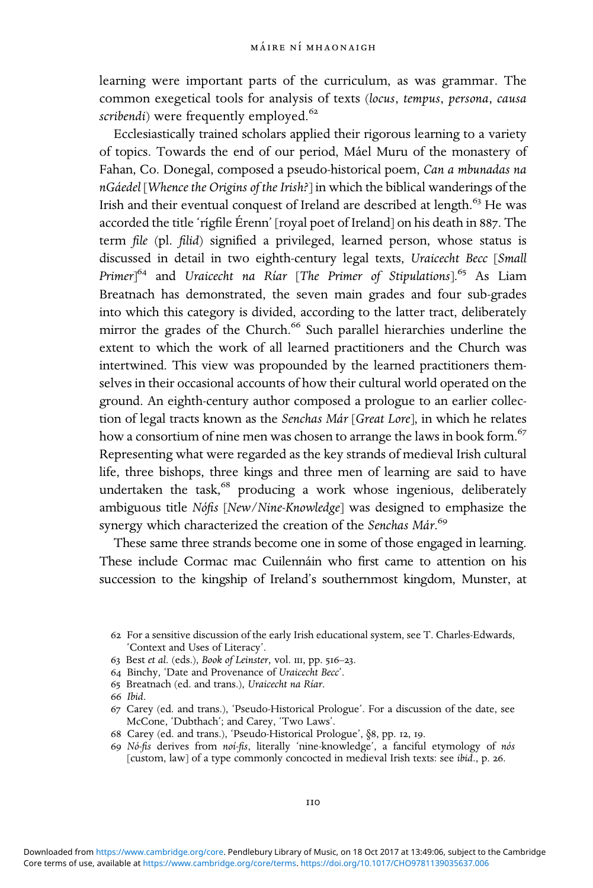learning were important parts of the curriculum, as was grammar. The common exegetical tools for analysis of texts (locus, tempus, persona, causa scribendi) were frequently employed. $62$ 

Ecclesiastically trained scholars applied their rigorous learning to a variety of topics. Towards the end of our period, Máel Muru of the monastery of Fahan, Co. Donegal, composed a pseudo-historical poem, Can a mbunadas na nGáedel [Whence the Origins of the Irish?] in which the biblical wanderings of the Irish and their eventual conquest of Ireland are described at length.<sup>63</sup> He was accorded the title 'rígfile Érenn' [royal poet of Ireland] on his death in 887. The term file (pl. filid) signified a privileged, learned person, whose status is discussed in detail in two eighth-century legal texts, Uraicecht Becc [Small Primer]<sup>64</sup> and Uraicecht na Ríar [The Primer of Stipulations].<sup>65</sup> As Liam Breatnach has demonstrated, the seven main grades and four sub-grades into which this category is divided, according to the latter tract, deliberately mirror the grades of the Church.<sup>66</sup> Such parallel hierarchies underline the extent to which the work of all learned practitioners and the Church was intertwined. This view was propounded by the learned practitioners themselves in their occasional accounts of how their cultural world operated on the ground. An eighth-century author composed a prologue to an earlier collection of legal tracts known as the Senchas Már [Great Lore], in which he relates how a consortium of nine men was chosen to arrange the laws in book form.<sup>67</sup> Representing what were regarded as the key strands of medieval Irish cultural life, three bishops, three kings and three men of learning are said to have undertaken the task,<sup>68</sup> producing a work whose ingenious, deliberately ambiguous title Nófis [New/Nine-Knowledge] was designed to emphasize the synergy which characterized the creation of the Senchas Már.<sup>69</sup>

These same three strands become one in some of those engaged in learning. These include Cormac mac Cuilennáin who first came to attention on his succession to the kingship of Ireland's southernmost kingdom, Munster, at

<sup>62</sup> For a sensitive discussion of the early Irish educational system, see T. Charles-Edwards, 'Context and Uses of Literacy'.

<sup>63</sup> Best et al. (eds.), Book of Leinster, vol. iii, pp. 516–23.

<sup>64</sup> Binchy, 'Date and Provenance of Uraicecht Becc'.

<sup>65</sup> Breatnach (ed. and trans.), Uraicecht na Ríar.

<sup>66</sup> Ibid.

<sup>67</sup> Carey (ed. and trans.), 'Pseudo-Historical Prologue'. For a discussion of the date, see McCone, 'Dubthach'; and Carey, 'Two Laws'.

<sup>68</sup> Carey (ed. and trans.), 'Pseudo-Historical Prologue', §8, pp. 12, 19.

<sup>69</sup> Nó-fis derives from noí-fis, literally 'nine-knowledge', a fanciful etymology of nós [custom, law] of a type commonly concocted in medieval Irish texts: see ibid., p. 26.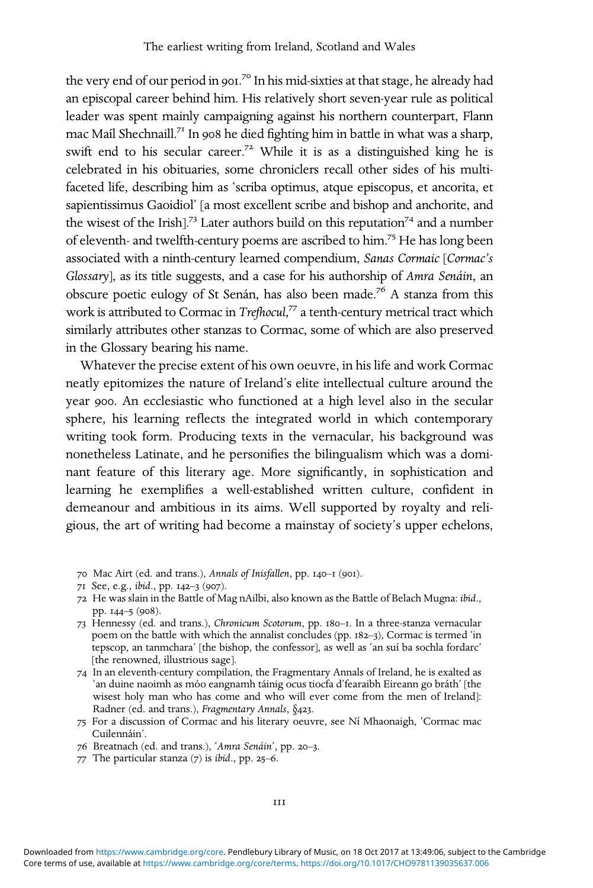the very end of our period in 901.<sup>70</sup> In his mid-sixties at that stage, he already had an episcopal career behind him. His relatively short seven-year rule as political leader was spent mainly campaigning against his northern counterpart, Flann mac Maíl Shechnaill.<sup>71</sup> In 908 he died fighting him in battle in what was a sharp, swift end to his secular career.<sup>72</sup> While it is as a distinguished king he is celebrated in his obituaries, some chroniclers recall other sides of his multifaceted life, describing him as 'scriba optimus, atque episcopus, et ancorita, et sapientissimus Gaoidiol' [a most excellent scribe and bishop and anchorite, and the wisest of the Irish].<sup>73</sup> Later authors build on this reputation<sup>74</sup> and a number of eleventh- and twelfth-century poems are ascribed to him.<sup>75</sup> He has long been associated with a ninth-century learned compendium, Sanas Cormaic [Cormac's Glossary], as its title suggests, and a case for his authorship of Amra Senáin, an obscure poetic eulogy of St Senán, has also been made.<sup>76</sup> A stanza from this work is attributed to Cormac in Trefhocul,<sup>77</sup> a tenth-century metrical tract which similarly attributes other stanzas to Cormac, some of which are also preserved in the Glossary bearing his name.

Whatever the precise extent of his own oeuvre, in his life and work Cormac neatly epitomizes the nature of Ireland's elite intellectual culture around the year 900. An ecclesiastic who functioned at a high level also in the secular sphere, his learning reflects the integrated world in which contemporary writing took form. Producing texts in the vernacular, his background was nonetheless Latinate, and he personifies the bilingualism which was a dominant feature of this literary age. More significantly, in sophistication and learning he exemplifies a well-established written culture, confident in demeanour and ambitious in its aims. Well supported by royalty and religious, the art of writing had become a mainstay of society's upper echelons,

- 70 Mac Airt (ed. and trans.), Annals of Inisfallen, pp. 140–1 (901).
- 71 See, e.g., ibid., pp. 142–3 (907).
- 72 He was slain in the Battle of Mag nAilbi, also known as the Battle of Belach Mugna: ibid., pp. 144–5 (908).
- 73 Hennessy (ed. and trans.), Chronicum Scotorum, pp. 180–1. In a three-stanza vernacular poem on the battle with which the annalist concludes (pp. 182–3), Cormac is termed 'in tepscop, an tanmchara' [the bishop, the confessor], as well as 'an suí ba sochla fordarc' [the renowned, illustrious sage].
- 74 In an eleventh-century compilation, the Fragmentary Annals of Ireland, he is exalted as 'an duine naoimh as móo eangnamh táinig ocus tiocfa d'fearaibh Eireann go bráth' [the wisest holy man who has come and who will ever come from the men of Ireland]: Radner (ed. and trans.), Fragmentary Annals, §423.
- 75 For a discussion of Cormac and his literary oeuvre, see Ní Mhaonaigh, 'Cormac mac Cuilennáin'.
- 76 Breatnach (ed. and trans.), 'Amra Senáin', pp. 20–3.
- 77 The particular stanza (7) is ibid., pp. 25–6.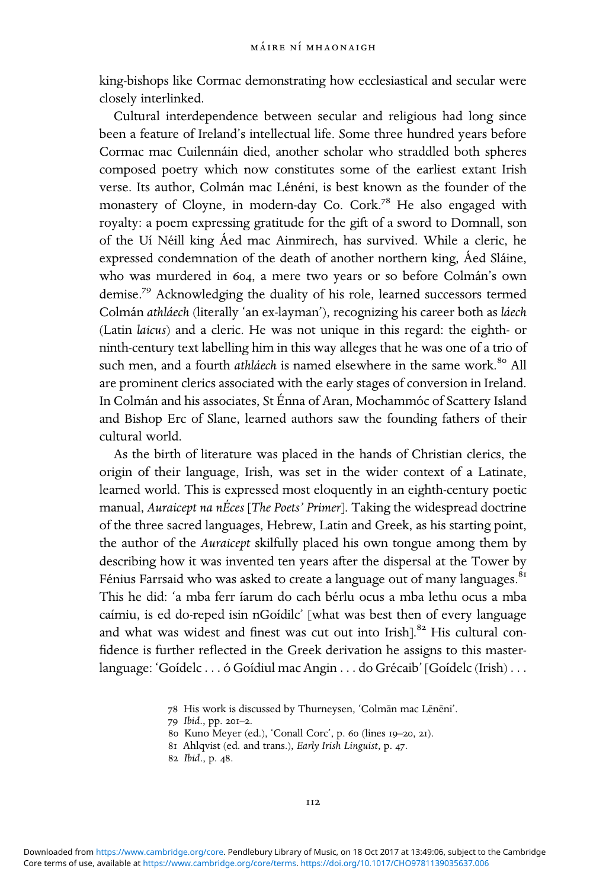king-bishops like Cormac demonstrating how ecclesiastical and secular were closely interlinked.

Cultural interdependence between secular and religious had long since been a feature of Ireland's intellectual life. Some three hundred years before Cormac mac Cuilennáin died, another scholar who straddled both spheres composed poetry which now constitutes some of the earliest extant Irish verse. Its author, Colmán mac Lénéni, is best known as the founder of the monastery of Cloyne, in modern-day Co. Cork.<sup>78</sup> He also engaged with royalty: a poem expressing gratitude for the gift of a sword to Domnall, son of the Uí Néill king Áed mac Ainmirech, has survived. While a cleric, he expressed condemnation of the death of another northern king, Áed Sláine, who was murdered in 604, a mere two years or so before Colmán's own demise.<sup>79</sup> Acknowledging the duality of his role, learned successors termed Colmán athláech (literally 'an ex-layman'), recognizing his career both as láech (Latin laicus) and a cleric. He was not unique in this regard: the eighth- or ninth-century text labelling him in this way alleges that he was one of a trio of such men, and a fourth athláech is named elsewhere in the same work.<sup>80</sup> All are prominent clerics associated with the early stages of conversion in Ireland. In Colmán and his associates, St Énna of Aran, Mochammóc of Scattery Island and Bishop Erc of Slane, learned authors saw the founding fathers of their cultural world.

As the birth of literature was placed in the hands of Christian clerics, the origin of their language, Irish, was set in the wider context of a Latinate, learned world. This is expressed most eloquently in an eighth-century poetic manual, Auraicept na nÉces [The Poets' Primer]. Taking the widespread doctrine of the three sacred languages, Hebrew, Latin and Greek, as his starting point, the author of the Auraicept skilfully placed his own tongue among them by describing how it was invented ten years after the dispersal at the Tower by Fénius Farrsaid who was asked to create a language out of many languages. $81$ This he did: 'a mba ferr íarum do cach bérlu ocus a mba lethu ocus a mba caímiu, is ed do-reped isin nGoídilc' [what was best then of every language and what was widest and finest was cut out into Irish].<sup>82</sup> His cultural confidence is further reflected in the Greek derivation he assigns to this masterlanguage: 'Goídelc... ó Goídiul mac Angin ... do Grécaib' [Goídelc (Irish) ...

<sup>78</sup> His work is discussed by Thurneysen, 'Colmān mac Lēnēni'.

<sup>79</sup> Ibid., pp. 201–2.

<sup>80</sup> Kuno Meyer (ed.), 'Conall Corc', p. 60 (lines 19–20, 21).

<sup>81</sup> Ahlqvist (ed. and trans.), Early Irish Linguist, p. 47.

<sup>82</sup> Ibid., p. 48.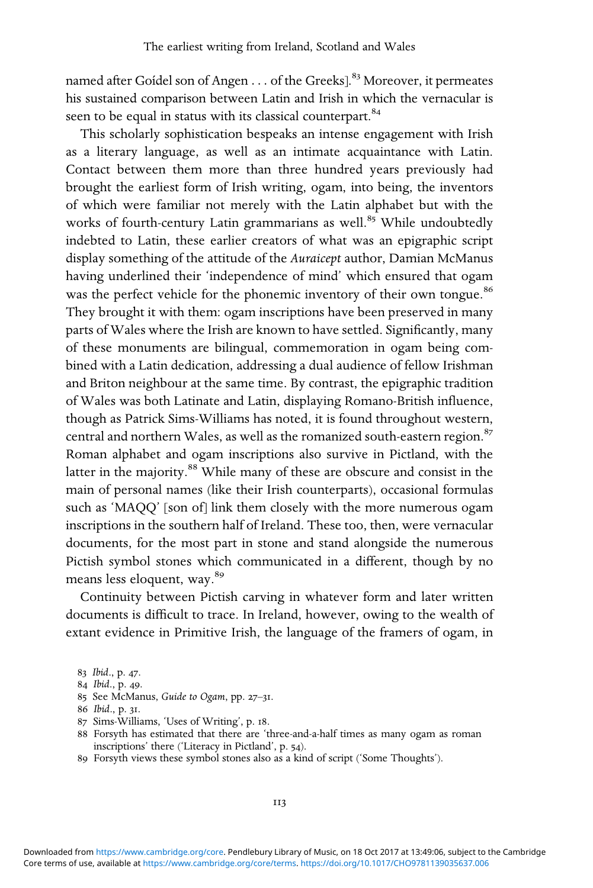named after Goídel son of Angen . . . of the Greeks].<sup>83</sup> Moreover, it permeates his sustained comparison between Latin and Irish in which the vernacular is seen to be equal in status with its classical counterpart.<sup>84</sup>

This scholarly sophistication bespeaks an intense engagement with Irish as a literary language, as well as an intimate acquaintance with Latin. Contact between them more than three hundred years previously had brought the earliest form of Irish writing, ogam, into being, the inventors of which were familiar not merely with the Latin alphabet but with the works of fourth-century Latin grammarians as well.<sup>85</sup> While undoubtedly indebted to Latin, these earlier creators of what was an epigraphic script display something of the attitude of the Auraicept author, Damian McManus having underlined their 'independence of mind' which ensured that ogam was the perfect vehicle for the phonemic inventory of their own tongue.<sup>86</sup> They brought it with them: ogam inscriptions have been preserved in many parts of Wales where the Irish are known to have settled. Significantly, many of these monuments are bilingual, commemoration in ogam being combined with a Latin dedication, addressing a dual audience of fellow Irishman and Briton neighbour at the same time. By contrast, the epigraphic tradition of Wales was both Latinate and Latin, displaying Romano-British influence, though as Patrick Sims-Williams has noted, it is found throughout western, central and northern Wales, as well as the romanized south-eastern region. $87$ Roman alphabet and ogam inscriptions also survive in Pictland, with the latter in the majority.<sup>88</sup> While many of these are obscure and consist in the main of personal names (like their Irish counterparts), occasional formulas such as 'MAQQ' [son of] link them closely with the more numerous ogam inscriptions in the southern half of Ireland. These too, then, were vernacular documents, for the most part in stone and stand alongside the numerous Pictish symbol stones which communicated in a different, though by no means less eloquent, way.<sup>89</sup>

Continuity between Pictish carving in whatever form and later written documents is difficult to trace. In Ireland, however, owing to the wealth of extant evidence in Primitive Irish, the language of the framers of ogam, in

- 85 See McManus, Guide to Ogam, pp. 27–31.
- 86 Ibid., p. 31.
- 87 Sims-Williams, 'Uses of Writing', p. 18.
- 88 Forsyth has estimated that there are 'three-and-a-half times as many ogam as roman inscriptions' there ('Literacy in Pictland', p. 54).
- 89 Forsyth views these symbol stones also as a kind of script ('Some Thoughts').

<sup>83</sup> Ibid., p. 47.

<sup>84</sup> Ibid., p. 49.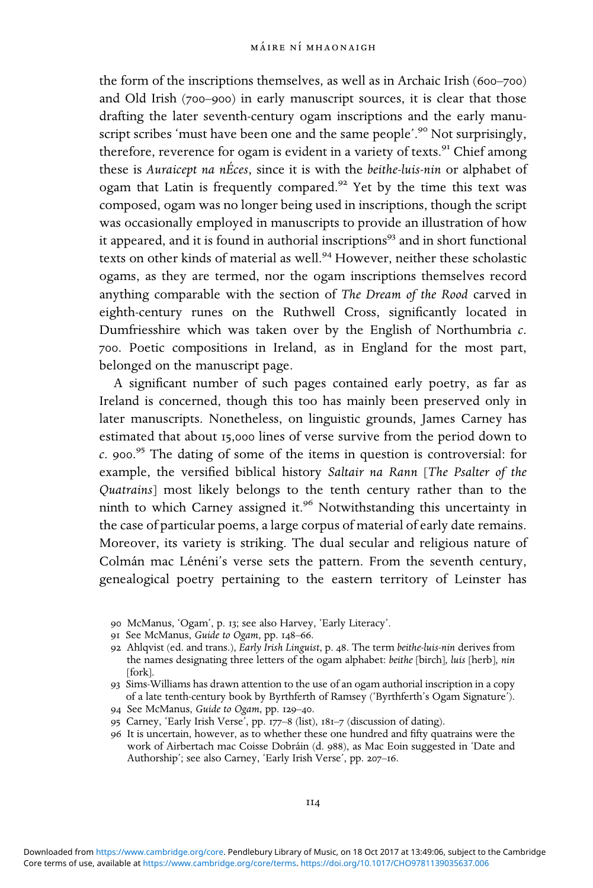the form of the inscriptions themselves, as well as in Archaic Irish (600–700) and Old Irish (700–900) in early manuscript sources, it is clear that those drafting the later seventh-century ogam inscriptions and the early manuscript scribes 'must have been one and the same people'.<sup>90</sup> Not surprisingly, therefore, reverence for ogam is evident in a variety of texts.<sup>91</sup> Chief among these is Auraicept na nÉces, since it is with the beithe-luis-nin or alphabet of ogam that Latin is frequently compared.<sup>92</sup> Yet by the time this text was composed, ogam was no longer being used in inscriptions, though the script was occasionally employed in manuscripts to provide an illustration of how it appeared, and it is found in authorial inscriptions $93$  and in short functional texts on other kinds of material as well.<sup>94</sup> However, neither these scholastic ogams, as they are termed, nor the ogam inscriptions themselves record anything comparable with the section of The Dream of the Rood carved in eighth-century runes on the Ruthwell Cross, significantly located in Dumfriesshire which was taken over by the English of Northumbria c. 700. Poetic compositions in Ireland, as in England for the most part, belonged on the manuscript page.

A significant number of such pages contained early poetry, as far as Ireland is concerned, though this too has mainly been preserved only in later manuscripts. Nonetheless, on linguistic grounds, James Carney has estimated that about 15,000 lines of verse survive from the period down to c. 900. <sup>95</sup> The dating of some of the items in question is controversial: for example, the versified biblical history Saltair na Rann [The Psalter of the Quatrains] most likely belongs to the tenth century rather than to the ninth to which Carney assigned it.<sup>96</sup> Notwithstanding this uncertainty in the case of particular poems, a large corpus of material of early date remains. Moreover, its variety is striking. The dual secular and religious nature of Colmán mac Lénéni's verse sets the pattern. From the seventh century, genealogical poetry pertaining to the eastern territory of Leinster has

95 Carney, 'Early Irish Verse', pp. 177–8 (list), 181–7 (discussion of dating).

<sup>90</sup> McManus, 'Ogam', p. 13; see also Harvey, 'Early Literacy'.

<sup>91</sup> See McManus, Guide to Ogam, pp. 148–66.

<sup>92</sup> Ahlqvist (ed. and trans.), Early Irish Linguist, p. 48. The term beithe-luis-nin derives from the names designating three letters of the ogam alphabet: beithe [birch], luis [herb], nin [fork].

<sup>93</sup> Sims-Williams has drawn attention to the use of an ogam authorial inscription in a copy of a late tenth-century book by Byrthferth of Ramsey ('Byrthferth's Ogam Signature'). 94 See McManus, Guide to Ogam, pp. 129–40.

<sup>96</sup> It is uncertain, however, as to whether these one hundred and fifty quatrains were the work of Airbertach mac Coisse Dobráin (d. 988), as Mac Eoin suggested in 'Date and Authorship'; see also Carney, 'Early Irish Verse', pp. 207–16.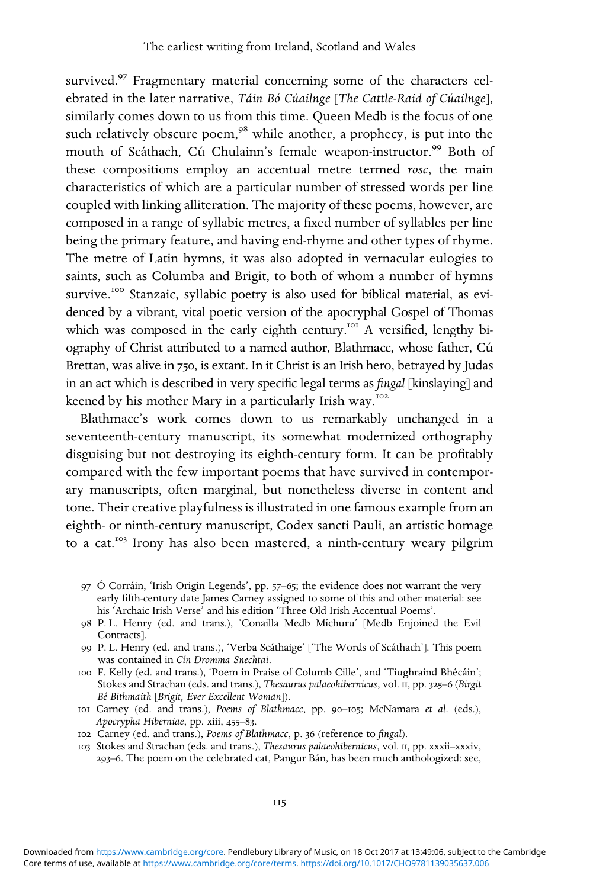survived.<sup>97</sup> Fragmentary material concerning some of the characters celebrated in the later narrative, Táin Bó Cúailnge [The Cattle-Raid of Cúailnge], similarly comes down to us from this time. Queen Medb is the focus of one such relatively obscure poem,<sup>98</sup> while another, a prophecy, is put into the mouth of Scáthach, Cú Chulainn's female weapon-instructor.<sup>99</sup> Both of these compositions employ an accentual metre termed rosc, the main characteristics of which are a particular number of stressed words per line coupled with linking alliteration. The majority of these poems, however, are composed in a range of syllabic metres, a fixed number of syllables per line being the primary feature, and having end-rhyme and other types of rhyme. The metre of Latin hymns, it was also adopted in vernacular eulogies to saints, such as Columba and Brigit, to both of whom a number of hymns survive.<sup>100</sup> Stanzaic, syllabic poetry is also used for biblical material, as evidenced by a vibrant, vital poetic version of the apocryphal Gospel of Thomas which was composed in the early eighth century.<sup>101</sup> A versified, lengthy biography of Christ attributed to a named author, Blathmacc, whose father, Cú Brettan, was alive in 750, is extant. In it Christ is an Irish hero, betrayed by Judas in an act which is described in very specific legal terms as fingal [kinslaying] and keened by his mother Mary in a particularly Irish way.<sup>102</sup>

Blathmacc's work comes down to us remarkably unchanged in a seventeenth-century manuscript, its somewhat modernized orthography disguising but not destroying its eighth-century form. It can be profitably compared with the few important poems that have survived in contemporary manuscripts, often marginal, but nonetheless diverse in content and tone. Their creative playfulness is illustrated in one famous example from an eighth- or ninth-century manuscript, Codex sancti Pauli, an artistic homage to a cat.<sup>103</sup> Irony has also been mastered, a ninth-century weary pilgrim

- 97 Ó Corráin, 'Irish Origin Legends', pp. 57–65; the evidence does not warrant the very early fifth-century date James Carney assigned to some of this and other material: see his 'Archaic Irish Verse' and his edition 'Three Old Irish Accentual Poems'.
- 98 P. L. Henry (ed. and trans.), 'Conailla Medb Míchuru' [Medb Enjoined the Evil Contracts].
- 99 P. L. Henry (ed. and trans.), 'Verba Scáthaige' ['The Words of Scáthach']. This poem was contained in Cín Dromma Snechtai.
- 100 F. Kelly (ed. and trans.), 'Poem in Praise of Columb Cille', and 'Tiughraind Bhécáin'; Stokes and Strachan (eds. and trans.), Thesaurus palaeohibernicus, vol. II, pp. 325-6 (Birgit Bé Bithmaith [Brigit, Ever Excellent Woman]).
- 101 Carney (ed. and trans.), Poems of Blathmacc, pp. 90–105; McNamara et al. (eds.), Apocrypha Hiberniae, pp. xiii, 455–83.
- 102 Carney (ed. and trans.), Poems of Blathmacc, p. 36 (reference to fingal).
- 103 Stokes and Strachan (eds. and trans.), Thesaurus palaeohibernicus, vol. ii, pp. xxxii–xxxiv, 293–6. The poem on the celebrated cat, Pangur Bán, has been much anthologized: see,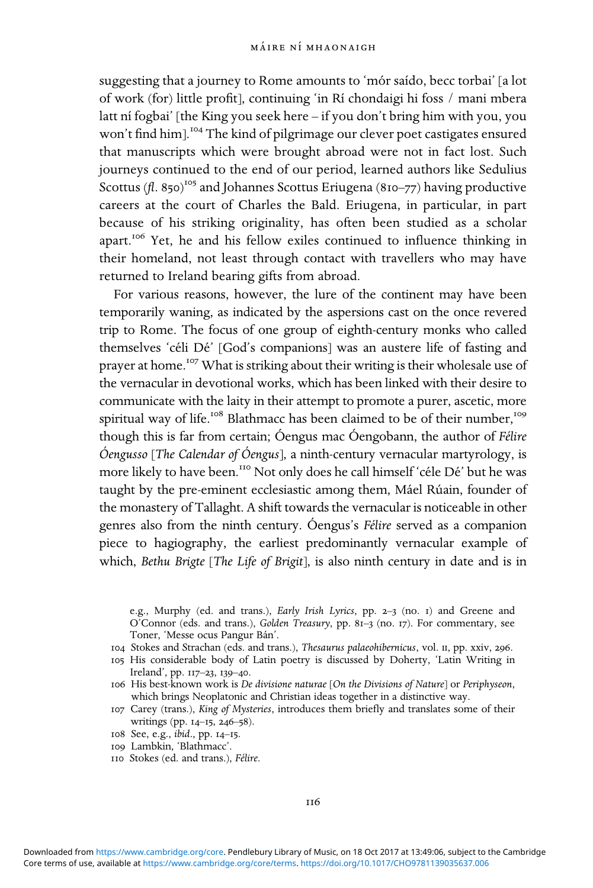suggesting that a journey to Rome amounts to 'mór saído, becc torbai' [a lot of work (for) little profit], continuing 'in Rí chondaigi hi foss / mani mbera latt ní fogbai' [the King you seek here – if you don't bring him with you, you won't find him].<sup>104</sup> The kind of pilgrimage our clever poet castigates ensured that manuscripts which were brought abroad were not in fact lost. Such journeys continued to the end of our period, learned authors like Sedulius Scottus (fl. 850) <sup>105</sup> and Johannes Scottus Eriugena (810–77) having productive careers at the court of Charles the Bald. Eriugena, in particular, in part because of his striking originality, has often been studied as a scholar apart.<sup>106</sup> Yet, he and his fellow exiles continued to influence thinking in their homeland, not least through contact with travellers who may have returned to Ireland bearing gifts from abroad.

For various reasons, however, the lure of the continent may have been temporarily waning, as indicated by the aspersions cast on the once revered trip to Rome. The focus of one group of eighth-century monks who called themselves 'céli Dé' [God's companions] was an austere life of fasting and prayer at home.<sup>107</sup> What is striking about their writing is their wholesale use of the vernacular in devotional works, which has been linked with their desire to communicate with the laity in their attempt to promote a purer, ascetic, more spiritual way of life.<sup>108</sup> Blathmacc has been claimed to be of their number,<sup>109</sup> though this is far from certain; Óengus mac Óengobann, the author of Félire Óengusso [The Calendar of Óengus], a ninth-century vernacular martyrology, is more likely to have been.<sup>110</sup> Not only does he call himself 'céle Dé' but he was taught by the pre-eminent ecclesiastic among them, Máel Rúain, founder of the monastery of Tallaght. A shift towards the vernacular is noticeable in other genres also from the ninth century. Óengus's Félire served as a companion piece to hagiography, the earliest predominantly vernacular example of which, Bethu Brigte [The Life of Brigit], is also ninth century in date and is in

e.g., Murphy (ed. and trans.), Early Irish Lyrics, pp. 2–3 (no. 1) and Greene and O'Connor (eds. and trans.), Golden Treasury, pp. 81–3 (no. 17). For commentary, see Toner, 'Messe ocus Pangur Bán'.

- 104 Stokes and Strachan (eds. and trans.), Thesaurus palaeohibernicus, vol. ii, pp. xxiv, 296.
- 105 His considerable body of Latin poetry is discussed by Doherty, 'Latin Writing in Ireland', pp. 117–23, 139–40.
- 106 His best-known work is De divisione naturae [On the Divisions of Nature] or Periphyseon, which brings Neoplatonic and Christian ideas together in a distinctive way.
- 107 Carey (trans.), King of Mysteries, introduces them briefly and translates some of their writings (pp. 14–15, 246–58).
- 108 See, e.g., ibid., pp. 14–15.
- 109 Lambkin, 'Blathmacc'.
- 110 Stokes (ed. and trans.), Félire.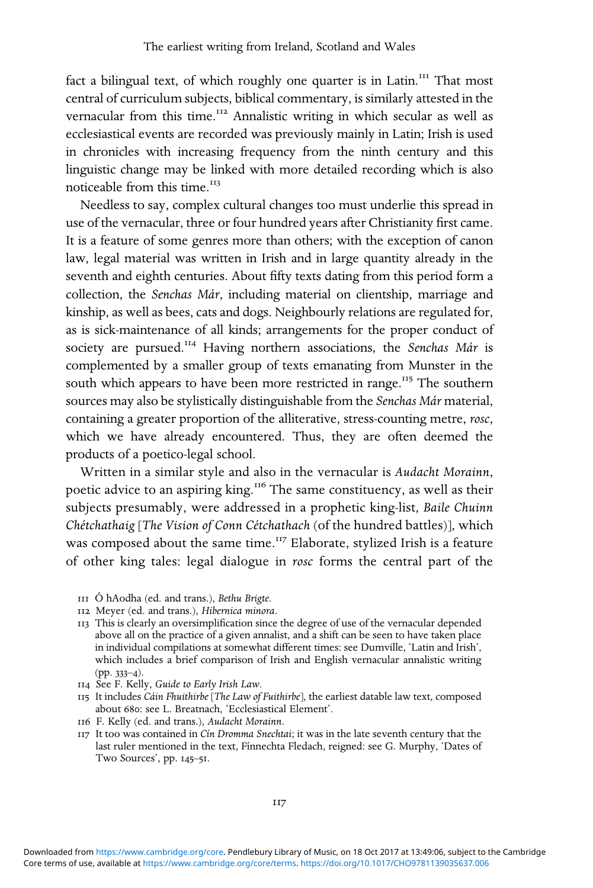fact a bilingual text, of which roughly one quarter is in Latin.<sup>111</sup> That most central of curriculum subjects, biblical commentary, is similarly attested in the vernacular from this time.<sup>112</sup> Annalistic writing in which secular as well as ecclesiastical events are recorded was previously mainly in Latin; Irish is used in chronicles with increasing frequency from the ninth century and this linguistic change may be linked with more detailed recording which is also noticeable from this time.<sup>113</sup>

Needless to say, complex cultural changes too must underlie this spread in use of the vernacular, three or four hundred years after Christianity first came. It is a feature of some genres more than others; with the exception of canon law, legal material was written in Irish and in large quantity already in the seventh and eighth centuries. About fifty texts dating from this period form a collection, the Senchas Már, including material on clientship, marriage and kinship, as well as bees, cats and dogs. Neighbourly relations are regulated for, as is sick-maintenance of all kinds; arrangements for the proper conduct of society are pursued.<sup>114</sup> Having northern associations, the Senchas Már is complemented by a smaller group of texts emanating from Munster in the south which appears to have been more restricted in range.<sup>115</sup> The southern sources may also be stylistically distinguishable from the Senchas Már material, containing a greater proportion of the alliterative, stress-counting metre, rosc, which we have already encountered. Thus, they are often deemed the products of a poetico-legal school.

Written in a similar style and also in the vernacular is Audacht Morainn, poetic advice to an aspiring king.<sup>116</sup> The same constituency, as well as their subjects presumably, were addressed in a prophetic king-list, Baile Chuinn Chétchathaig [The Vision of Conn Cétchathach (of the hundred battles)], which was composed about the same time.<sup>117</sup> Elaborate, stylized Irish is a feature of other king tales: legal dialogue in rosc forms the central part of the

- 111 Ó hAodha (ed. and trans.), Bethu Brigte.
- 112 Meyer (ed. and trans.), Hibernica minora.
- 113 This is clearly an oversimplification since the degree of use of the vernacular depended above all on the practice of a given annalist, and a shift can be seen to have taken place in individual compilations at somewhat different times: see Dumville, 'Latin and Irish', which includes a brief comparison of Irish and English vernacular annalistic writing (pp. 333–4).
- 114 See F. Kelly, Guide to Early Irish Law.
- 115 It includes Cáin Fhuithirbe [The Law of Fuithirbe], the earliest datable law text, composed about 680: see L. Breatnach, 'Ecclesiastical Element'.
- 116 F. Kelly (ed. and trans.), Audacht Morainn.
- 117 It too was contained in Cín Dromma Snechtai; it was in the late seventh century that the last ruler mentioned in the text, Fínnechta Fledach, reigned: see G. Murphy, 'Dates of Two Sources', pp. 145–51.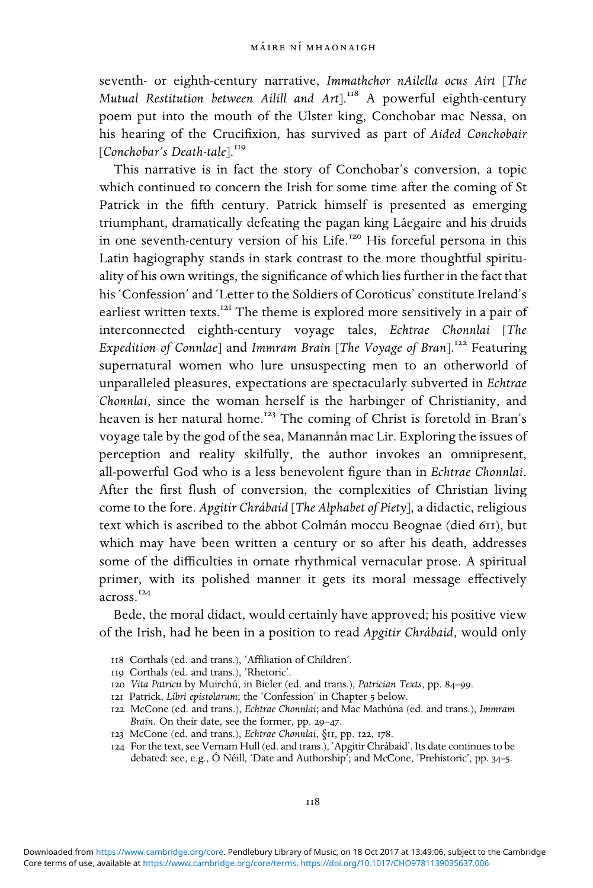seventh- or eighth-century narrative, Immathchor nAilella ocus Airt [The Mutual Restitution between Ailill and Art].<sup>118</sup> A powerful eighth-century poem put into the mouth of the Ulster king, Conchobar mac Nessa, on his hearing of the Crucifixion, has survived as part of Aided Conchobair [Conchobar's Death-tale].<sup>119</sup>

This narrative is in fact the story of Conchobar's conversion, a topic which continued to concern the Irish for some time after the coming of St Patrick in the fifth century. Patrick himself is presented as emerging triumphant, dramatically defeating the pagan king Láegaire and his druids in one seventh-century version of his Life.<sup>120</sup> His forceful persona in this Latin hagiography stands in stark contrast to the more thoughtful spirituality of his own writings, the significance of which lies further in the fact that his 'Confession' and 'Letter to the Soldiers of Coroticus' constitute Ireland's earliest written texts.<sup>121</sup> The theme is explored more sensitively in a pair of interconnected eighth-century voyage tales, Echtrae Chonnlai [The Expedition of Connlae] and Immram Brain [The Voyage of Bran].<sup>122</sup> Featuring supernatural women who lure unsuspecting men to an otherworld of unparalleled pleasures, expectations are spectacularly subverted in Echtrae Chonnlai, since the woman herself is the harbinger of Christianity, and heaven is her natural home.<sup>123</sup> The coming of Christ is foretold in Bran's voyage tale by the god of the sea, Manannán mac Lir. Exploring the issues of perception and reality skilfully, the author invokes an omnipresent, all-powerful God who is a less benevolent figure than in Echtrae Chonnlai. After the first flush of conversion, the complexities of Christian living come to the fore. Apgitir Chrábaid [The Alphabet of Piety], a didactic, religious text which is ascribed to the abbot Colmán moccu Beognae (died 611), but which may have been written a century or so after his death, addresses some of the difficulties in ornate rhythmical vernacular prose. A spiritual primer, with its polished manner it gets its moral message effectively -<br>across.<sup>124</sup>

Bede, the moral didact, would certainly have approved; his positive view of the Irish, had he been in a position to read Apgitir Chrábaid, would only

- 118 Corthals (ed. and trans.), 'Affiliation of Children'.
- 119 Corthals (ed. and trans.), 'Rhetoric'.
- 120 Vita Patricii by Muirchú, in Bieler (ed. and trans.), Patrician Texts, pp. 84–99.
- 121 Patrick, Libri epistolarum; the 'Confession' in Chapter 5 below.
- 122 McCone (ed. and trans.), Echtrae Chonnlai; and Mac Mathúna (ed. and trans.), Immram Brain. On their date, see the former, pp. 29–47.
- 123 McCone (ed. and trans.), Echtrae Chonnlai, §11, pp. 122, 178.
- 124 For the text, see Vernam Hull (ed. and trans.), 'Apgitir Chrábaid'. Its date continues to be debated: see, e.g., Ó Néill, 'Date and Authorship'; and McCone, 'Prehistoric', pp. 34–5.